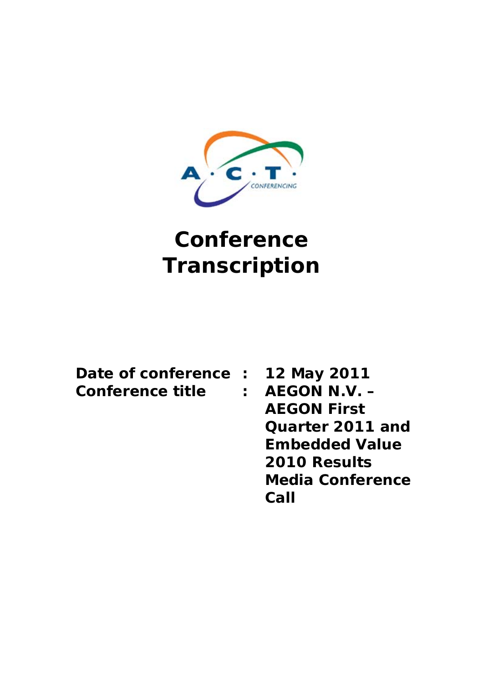

# **Conference Transcription**

| Date of conference: |  |
|---------------------|--|
| Conference title    |  |

**12 May 2011 AEGON N.V. – AEGON First Quarter 2011 and Embedded Value 2010 Results Media Conference Call**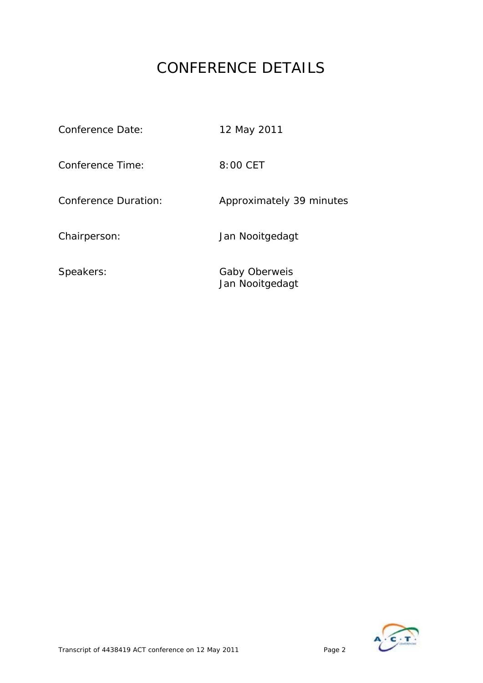# CONFERENCE DETAILS

Conference Date: 12 May 2011

Conference Time: 8:00 CET

Conference Duration: Approximately 39 minutes

Chairperson: Jan Nooitgedagt

Speakers: Gaby Oberweis Jan Nooitgedagt

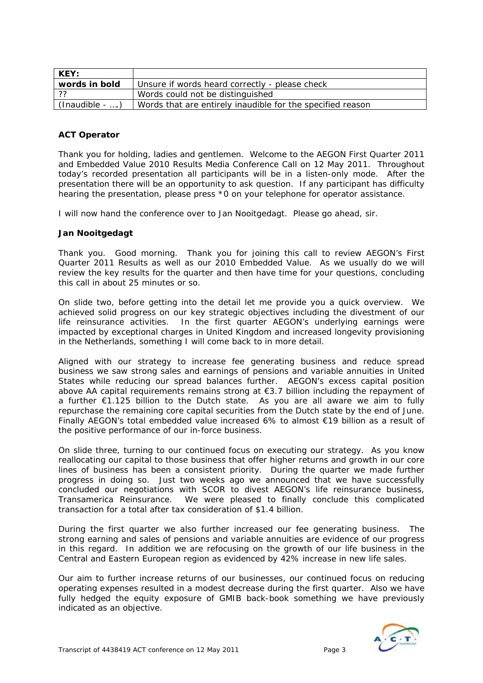| KEY:              |                                                            |
|-------------------|------------------------------------------------------------|
| words in bold     | Unsure if words heard correctly - please check             |
| ??                | Words could not be distinguished                           |
| $(Inaudible -  )$ | Words that are entirely inaudible for the specified reason |

## **ACT Operator**

Thank you for holding, ladies and gentlemen. Welcome to the AEGON First Quarter 2011 and Embedded Value 2010 Results Media Conference Call on 12 May 2011. Throughout today's recorded presentation all participants will be in a listen-only mode. After the presentation there will be an opportunity to ask question. If any participant has difficulty hearing the presentation, please press \*0 on your telephone for operator assistance.

I will now hand the conference over to Jan Nooitgedagt. Please go ahead, sir.

## **Jan Nooitgedagt**

Thank you. Good morning. Thank you for joining this call to review AEGON's First Quarter 2011 Results as well as our 2010 Embedded Value. As we usually do we will review the key results for the quarter and then have time for your questions, concluding this call in about 25 minutes or so.

On slide two, before getting into the detail let me provide you a quick overview. We achieved solid progress on our key strategic objectives including the divestment of our life reinsurance activities. In the first quarter AEGON's underlying earnings were impacted by exceptional charges in United Kingdom and increased longevity provisioning in the Netherlands, something I will come back to in more detail.

Aligned with our strategy to increase fee generating business and reduce spread business we saw strong sales and earnings of pensions and variable annuities in United States while reducing our spread balances further. AEGON's excess capital position above AA capital requirements remains strong at  $\epsilon$ 3.7 billion including the repayment of a further €1.125 billion to the Dutch state. As you are all aware we aim to fully repurchase the remaining core capital securities from the Dutch state by the end of June. Finally AEGON's total embedded value increased 6% to almost €19 billion as a result of the positive performance of our in-force business.

On slide three, turning to our continued focus on executing our strategy. As you know reallocating our capital to those business that offer higher returns and growth in our core lines of business has been a consistent priority. During the quarter we made further progress in doing so. Just two weeks ago we announced that we have successfully concluded our negotiations with SCOR to divest AEGON's life reinsurance business, Transamerica Reinsurance. We were pleased to finally conclude this complicated transaction for a total after tax consideration of \$1.4 billion.

During the first quarter we also further increased our fee generating business. The strong earning and sales of pensions and variable annuities are evidence of our progress in this regard. In addition we are refocusing on the growth of our life business in the Central and Eastern European region as evidenced by 42% increase in new life sales.

Our aim to further increase returns of our businesses, our continued focus on reducing operating expenses resulted in a modest decrease during the first quarter. Also we have fully hedged the equity exposure of GMIB back-book something we have previously indicated as an objective.

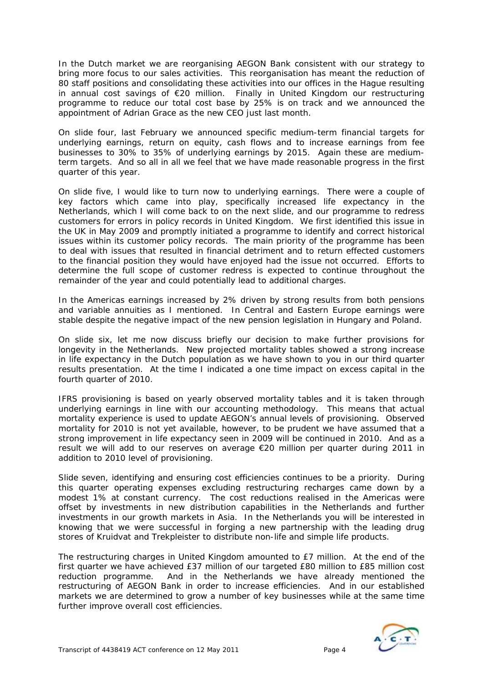In the Dutch market we are reorganising AEGON Bank consistent with our strategy to bring more focus to our sales activities. This reorganisation has meant the reduction of 80 staff positions and consolidating these activities into our offices in the Hague resulting in annual cost savings of €20 million. Finally in United Kingdom our restructuring programme to reduce our total cost base by 25% is on track and we announced the appointment of Adrian Grace as the new CEO just last month.

On slide four, last February we announced specific medium-term financial targets for underlying earnings, return on equity, cash flows and to increase earnings from fee businesses to 30% to 35% of underlying earnings by 2015. Again these are mediumterm targets. And so all in all we feel that we have made reasonable progress in the first quarter of this year.

On slide five, I would like to turn now to underlying earnings. There were a couple of key factors which came into play, specifically increased life expectancy in the Netherlands, which I will come back to on the next slide, and our programme to redress customers for errors in policy records in United Kingdom. We first identified this issue in the UK in May 2009 and promptly initiated a programme to identify and correct historical issues within its customer policy records. The main priority of the programme has been to deal with issues that resulted in financial detriment and to return effected customers to the financial position they would have enjoyed had the issue not occurred. Efforts to determine the full scope of customer redress is expected to continue throughout the remainder of the year and could potentially lead to additional charges.

In the Americas earnings increased by 2% driven by strong results from both pensions and variable annuities as I mentioned. In Central and Eastern Europe earnings were stable despite the negative impact of the new pension legislation in Hungary and Poland.

On slide six, let me now discuss briefly our decision to make further provisions for longevity in the Netherlands. New projected mortality tables showed a strong increase in life expectancy in the Dutch population as we have shown to you in our third quarter results presentation. At the time I indicated a one time impact on excess capital in the fourth quarter of 2010.

IFRS provisioning is based on yearly observed mortality tables and it is taken through underlying earnings in line with our accounting methodology. This means that actual mortality experience is used to update AEGON's annual levels of provisioning. Observed mortality for 2010 is not yet available, however, to be prudent we have assumed that a strong improvement in life expectancy seen in 2009 will be continued in 2010. And as a result we will add to our reserves on average €20 million per quarter during 2011 in addition to 2010 level of provisioning.

Slide seven, identifying and ensuring cost efficiencies continues to be a priority. During this quarter operating expenses excluding restructuring recharges came down by a modest 1% at constant currency. The cost reductions realised in the Americas were offset by investments in new distribution capabilities in the Netherlands and further investments in our growth markets in Asia. In the Netherlands you will be interested in knowing that we were successful in forging a new partnership with the leading drug stores of Kruidvat and Trekpleister to distribute non-life and simple life products.

The restructuring charges in United Kingdom amounted to £7 million. At the end of the first quarter we have achieved £37 million of our targeted £80 million to £85 million cost reduction programme. And in the Netherlands we have already mentioned the restructuring of AEGON Bank in order to increase efficiencies. And in our established markets we are determined to grow a number of key businesses while at the same time further improve overall cost efficiencies.

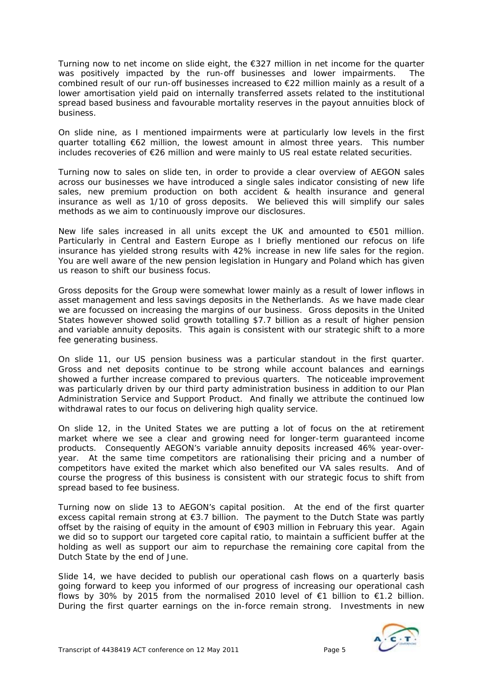Turning now to net income on slide eight, the €327 million in net income for the quarter was positively impacted by the run-off businesses and lower impairments. The combined result of our run-off businesses increased to €22 million mainly as a result of a lower amortisation yield paid on internally transferred assets related to the institutional spread based business and favourable mortality reserves in the payout annuities block of business.

On slide nine, as I mentioned impairments were at particularly low levels in the first quarter totalling €62 million, the lowest amount in almost three years. This number includes recoveries of €26 million and were mainly to US real estate related securities.

Turning now to sales on slide ten, in order to provide a clear overview of AEGON sales across our businesses we have introduced a single sales indicator consisting of new life sales, new premium production on both accident & health insurance and general insurance as well as 1/10 of gross deposits. We believed this will simplify our sales methods as we aim to continuously improve our disclosures.

New life sales increased in all units except the UK and amounted to €501 million. Particularly in Central and Eastern Europe as I briefly mentioned our refocus on life insurance has yielded strong results with 42% increase in new life sales for the region. You are well aware of the new pension legislation in Hungary and Poland which has given us reason to shift our business focus.

Gross deposits for the Group were somewhat lower mainly as a result of lower inflows in asset management and less savings deposits in the Netherlands. As we have made clear we are focussed on increasing the margins of our business. Gross deposits in the United States however showed solid growth totalling \$7.7 billion as a result of higher pension and variable annuity deposits. This again is consistent with our strategic shift to a more fee generating business.

On slide 11, our US pension business was a particular standout in the first quarter. Gross and net deposits continue to be strong while account balances and earnings showed a further increase compared to previous quarters. The noticeable improvement was particularly driven by our third party administration business in addition to our Plan Administration Service and Support Product. And finally we attribute the continued low withdrawal rates to our focus on delivering high quality service.

On slide 12, in the United States we are putting a lot of focus on the at retirement market where we see a clear and growing need for longer-term guaranteed income products. Consequently AEGON's variable annuity deposits increased 46% year-overyear. At the same time competitors are rationalising their pricing and a number of competitors have exited the market which also benefited our VA sales results. And of course the progress of this business is consistent with our strategic focus to shift from spread based to fee business.

Turning now on slide 13 to AEGON's capital position. At the end of the first quarter excess capital remain strong at €3.7 billion. The payment to the Dutch State was partly offset by the raising of equity in the amount of €903 million in February this year. Again we did so to support our targeted core capital ratio, to maintain a sufficient buffer at the holding as well as support our aim to repurchase the remaining core capital from the Dutch State by the end of June.

Slide 14, we have decided to publish our operational cash flows on a quarterly basis going forward to keep you informed of our progress of increasing our operational cash flows by 30% by 2015 from the normalised 2010 level of  $\epsilon$ 1 billion to  $\epsilon$ 1.2 billion. During the first quarter earnings on the in-force remain strong. Investments in new

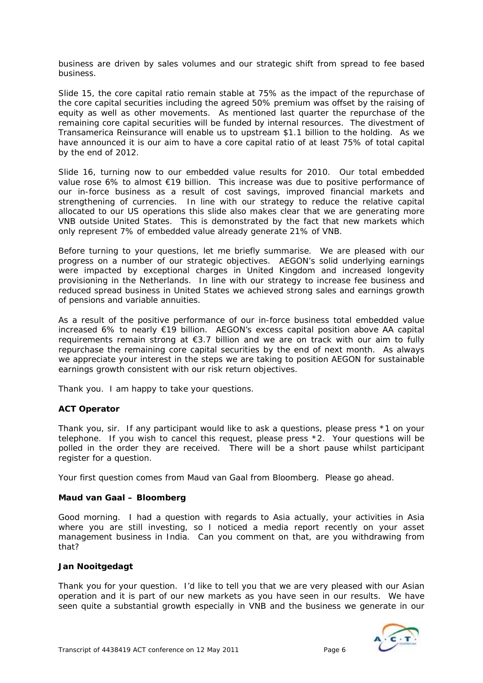business are driven by sales volumes and our strategic shift from spread to fee based business.

Slide 15, the core capital ratio remain stable at 75% as the impact of the repurchase of the core capital securities including the agreed 50% premium was offset by the raising of equity as well as other movements. As mentioned last quarter the repurchase of the remaining core capital securities will be funded by internal resources. The divestment of Transamerica Reinsurance will enable us to upstream \$1.1 billion to the holding. As we have announced it is our aim to have a core capital ratio of at least 75% of total capital by the end of 2012.

Slide 16, turning now to our embedded value results for 2010. Our total embedded value rose 6% to almost €19 billion. This increase was due to positive performance of our in-force business as a result of cost savings, improved financial markets and strengthening of currencies. In line with our strategy to reduce the relative capital allocated to our US operations this slide also makes clear that we are generating more VNB outside United States. This is demonstrated by the fact that new markets which only represent 7% of embedded value already generate 21% of VNB.

Before turning to your questions, let me briefly summarise. We are pleased with our progress on a number of our strategic objectives. AEGON's solid underlying earnings were impacted by exceptional charges in United Kingdom and increased longevity provisioning in the Netherlands. In line with our strategy to increase fee business and reduced spread business in United States we achieved strong sales and earnings growth of pensions and variable annuities.

As a result of the positive performance of our in-force business total embedded value increased 6% to nearly €19 billion. AEGON's excess capital position above AA capital requirements remain strong at €3.7 billion and we are on track with our aim to fully repurchase the remaining core capital securities by the end of next month. As always we appreciate your interest in the steps we are taking to position AEGON for sustainable earnings growth consistent with our risk return objectives.

Thank you. I am happy to take your questions.

## **ACT Operator**

Thank you, sir. If any participant would like to ask a questions, please press \*1 on your telephone. If you wish to cancel this request, please press \*2. Your questions will be polled in the order they are received. There will be a short pause whilst participant register for a question.

Your first question comes from Maud van Gaal from Bloomberg. Please go ahead.

## **Maud van Gaal – Bloomberg**

Good morning. I had a question with regards to Asia actually, your activities in Asia where you are still investing, so I noticed a media report recently on your asset management business in India. Can you comment on that, are you withdrawing from that?

## **Jan Nooitgedagt**

Thank you for your question. I'd like to tell you that we are very pleased with our Asian operation and it is part of our new markets as you have seen in our results. We have seen quite a substantial growth especially in VNB and the business we generate in our

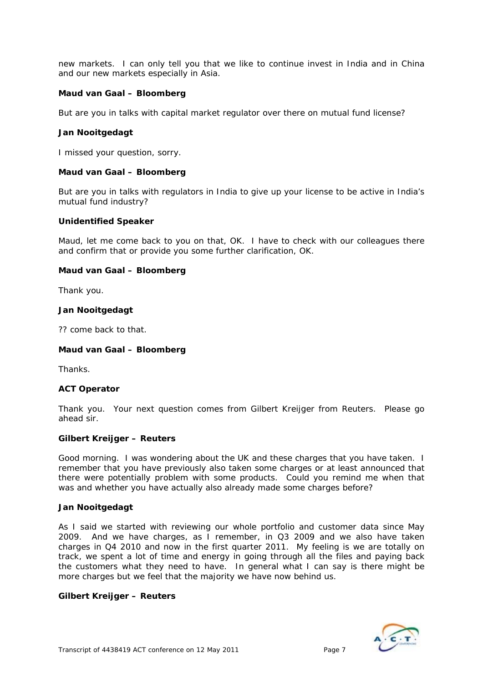new markets. I can only tell you that we like to continue invest in India and in China and our new markets especially in Asia.

## **Maud van Gaal – Bloomberg**

But are you in talks with capital market regulator over there on mutual fund license?

#### **Jan Nooitgedagt**

I missed your question, sorry.

#### **Maud van Gaal – Bloomberg**

But are you in talks with regulators in India to give up your license to be active in India's mutual fund industry?

#### **Unidentified Speaker**

Maud, let me come back to you on that, OK. I have to check with our colleagues there and confirm that or provide you some further clarification, OK.

#### **Maud van Gaal – Bloomberg**

Thank you.

#### **Jan Nooitgedagt**

?? come back to that.

## **Maud van Gaal – Bloomberg**

Thanks.

## **ACT Operator**

Thank you. Your next question comes from Gilbert Kreijger from Reuters. Please go ahead sir.

## **Gilbert Kreijger – Reuters**

Good morning. I was wondering about the UK and these charges that you have taken. I remember that you have previously also taken some charges or at least announced that there were potentially problem with some products. Could you remind me when that was and whether you have actually also already made some charges before?

#### **Jan Nooitgedagt**

As I said we started with reviewing our whole portfolio and customer data since May 2009. And we have charges, as I remember, in Q3 2009 and we also have taken charges in Q4 2010 and now in the first quarter 2011. My feeling is we are totally on track, we spent a lot of time and energy in going through all the files and paying back the customers what they need to have. In general what I can say is there might be more charges but we feel that the majority we have now behind us.

#### **Gilbert Kreijger – Reuters**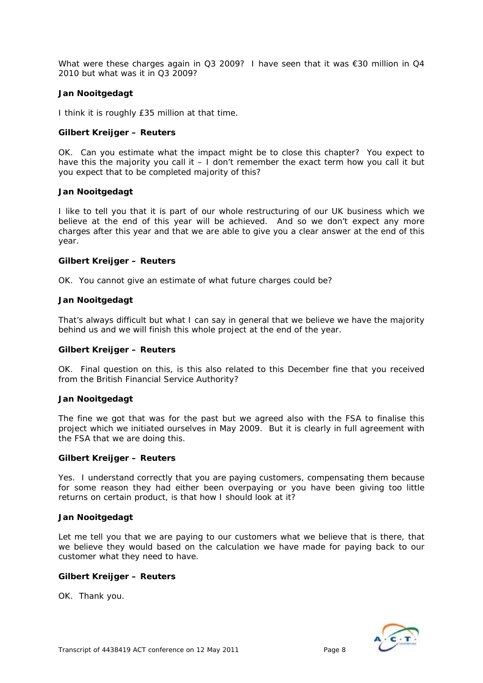What were these charges again in Q3 2009? I have seen that it was  $€30$  million in Q4 2010 but what was it in Q3 2009?

#### **Jan Nooitgedagt**

I think it is roughly £35 million at that time.

## **Gilbert Kreijger – Reuters**

OK. Can you estimate what the impact might be to close this chapter? You expect to have this the majority you call it  $-1$  don't remember the exact term how you call it but you expect that to be completed majority of this?

#### **Jan Nooitgedagt**

I like to tell you that it is part of our whole restructuring of our UK business which we believe at the end of this year will be achieved. And so we don't expect any more charges after this year and that we are able to give you a clear answer at the end of this year.

#### **Gilbert Kreijger – Reuters**

OK. You cannot give an estimate of what future charges could be?

#### **Jan Nooitgedagt**

That's always difficult but what I can say in general that we believe we have the majority behind us and we will finish this whole project at the end of the year.

## **Gilbert Kreijger – Reuters**

OK. Final question on this, is this also related to this December fine that you received from the British Financial Service Authority?

#### **Jan Nooitgedagt**

The fine we got that was for the past but we agreed also with the FSA to finalise this project which we initiated ourselves in May 2009. But it is clearly in full agreement with the FSA that we are doing this.

#### **Gilbert Kreijger – Reuters**

Yes. I understand correctly that you are paying customers, compensating them because for some reason they had either been overpaying or you have been giving too little returns on certain product, is that how I should look at it?

#### **Jan Nooitgedagt**

Let me tell you that we are paying to our customers what we believe that is there, that we believe they would based on the calculation we have made for paying back to our customer what they need to have.

## **Gilbert Kreijger – Reuters**

OK. Thank you.

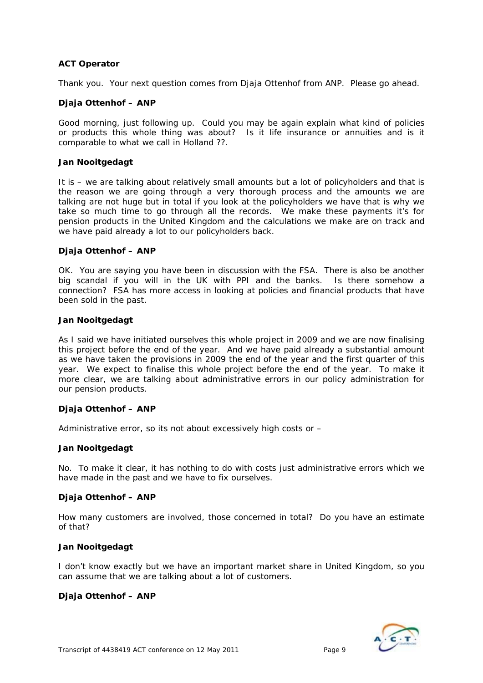# **ACT Operator**

Thank you. Your next question comes from Djaja Ottenhof from ANP. Please go ahead.

# **Djaja Ottenhof – ANP**

Good morning, just following up. Could you may be again explain what kind of policies or products this whole thing was about? Is it life insurance or annuities and is it comparable to what we call in Holland ??.

#### **Jan Nooitgedagt**

It is – we are talking about relatively small amounts but a lot of policyholders and that is the reason we are going through a very thorough process and the amounts we are talking are not huge but in total if you look at the policyholders we have that is why we take so much time to go through all the records. We make these payments it's for pension products in the United Kingdom and the calculations we make are on track and we have paid already a lot to our policyholders back.

## **Djaja Ottenhof – ANP**

OK. You are saying you have been in discussion with the FSA. There is also be another big scandal if you will in the UK with PPI and the banks. Is there somehow a connection? FSA has more access in looking at policies and financial products that have been sold in the past.

#### **Jan Nooitgedagt**

As I said we have initiated ourselves this whole project in 2009 and we are now finalising this project before the end of the year. And we have paid already a substantial amount as we have taken the provisions in 2009 the end of the year and the first quarter of this year. We expect to finalise this whole project before the end of the year. To make it more clear, we are talking about administrative errors in our policy administration for our pension products.

## **Djaja Ottenhof – ANP**

Administrative error, so its not about excessively high costs or –

## **Jan Nooitgedagt**

No. To make it clear, it has nothing to do with costs just administrative errors which we have made in the past and we have to fix ourselves.

## **Djaja Ottenhof – ANP**

How many customers are involved, those concerned in total? Do you have an estimate of that?

## **Jan Nooitgedagt**

I don't know exactly but we have an important market share in United Kingdom, so you can assume that we are talking about a lot of customers.

## **Djaja Ottenhof – ANP**

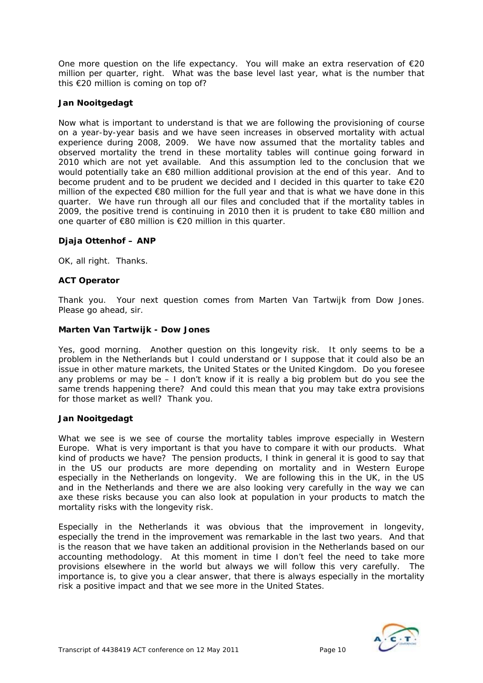One more question on the life expectancy. You will make an extra reservation of €20 million per quarter, right. What was the base level last year, what is the number that this €20 million is coming on top of?

# **Jan Nooitgedagt**

Now what is important to understand is that we are following the provisioning of course on a year-by-year basis and we have seen increases in observed mortality with actual experience during 2008, 2009. We have now assumed that the mortality tables and observed mortality the trend in these mortality tables will continue going forward in 2010 which are not yet available. And this assumption led to the conclusion that we would potentially take an €80 million additional provision at the end of this year. And to become prudent and to be prudent we decided and I decided in this quarter to take €20 million of the expected €80 million for the full year and that is what we have done in this quarter. We have run through all our files and concluded that if the mortality tables in 2009, the positive trend is continuing in 2010 then it is prudent to take €80 million and one quarter of €80 million is €20 million in this quarter.

# **Djaja Ottenhof – ANP**

OK, all right. Thanks.

# **ACT Operator**

Thank you. Your next question comes from Marten Van Tartwijk from Dow Jones. Please go ahead, sir.

# **Marten Van Tartwijk - Dow Jones**

Yes, good morning. Another question on this longevity risk. It only seems to be a problem in the Netherlands but I could understand or I suppose that it could also be an issue in other mature markets, the United States or the United Kingdom. Do you foresee any problems or may be – I don't know if it is really a big problem but do you see the same trends happening there? And could this mean that you may take extra provisions for those market as well? Thank you.

## **Jan Nooitgedagt**

What we see is we see of course the mortality tables improve especially in Western Europe. What is very important is that you have to compare it with our products. What kind of products we have? The pension products, I think in general it is good to say that in the US our products are more depending on mortality and in Western Europe especially in the Netherlands on longevity. We are following this in the UK, in the US and in the Netherlands and there we are also looking very carefully in the way we can axe these risks because you can also look at population in your products to match the mortality risks with the longevity risk.

Especially in the Netherlands it was obvious that the improvement in longevity, especially the trend in the improvement was remarkable in the last two years. And that is the reason that we have taken an additional provision in the Netherlands based on our accounting methodology. At this moment in time I don't feel the need to take more provisions elsewhere in the world but always we will follow this very carefully. The importance is, to give you a clear answer, that there is always especially in the mortality risk a positive impact and that we see more in the United States.

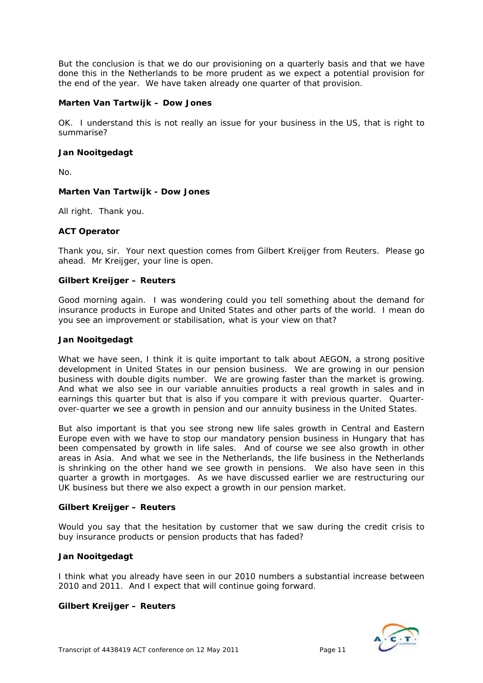But the conclusion is that we do our provisioning on a quarterly basis and that we have done this in the Netherlands to be more prudent as we expect a potential provision for the end of the year. We have taken already one quarter of that provision.

# **Marten Van Tartwijk – Dow Jones**

OK. I understand this is not really an issue for your business in the US, that is right to summarise?

## **Jan Nooitgedagt**

No.

# **Marten Van Tartwijk - Dow Jones**

All right. Thank you.

# **ACT Operator**

Thank you, sir. Your next question comes from Gilbert Kreijger from Reuters. Please go ahead. Mr Kreijger, your line is open.

## **Gilbert Kreijger – Reuters**

Good morning again. I was wondering could you tell something about the demand for insurance products in Europe and United States and other parts of the world. I mean do you see an improvement or stabilisation, what is your view on that?

## **Jan Nooitgedagt**

What we have seen, I think it is quite important to talk about AEGON, a strong positive development in United States in our pension business. We are growing in our pension business with double digits number. We are growing faster than the market is growing. And what we also see in our variable annuities products a real growth in sales and in earnings this quarter but that is also if you compare it with previous quarter. Quarterover-quarter we see a growth in pension and our annuity business in the United States.

But also important is that you see strong new life sales growth in Central and Eastern Europe even with we have to stop our mandatory pension business in Hungary that has been compensated by growth in life sales. And of course we see also growth in other areas in Asia. And what we see in the Netherlands, the life business in the Netherlands is shrinking on the other hand we see growth in pensions. We also have seen in this quarter a growth in mortgages. As we have discussed earlier we are restructuring our UK business but there we also expect a growth in our pension market.

## **Gilbert Kreijger – Reuters**

Would you say that the hesitation by customer that we saw during the credit crisis to buy insurance products or pension products that has faded?

## **Jan Nooitgedagt**

I think what you already have seen in our 2010 numbers a substantial increase between 2010 and 2011. And I expect that will continue going forward.

# **Gilbert Kreijger – Reuters**

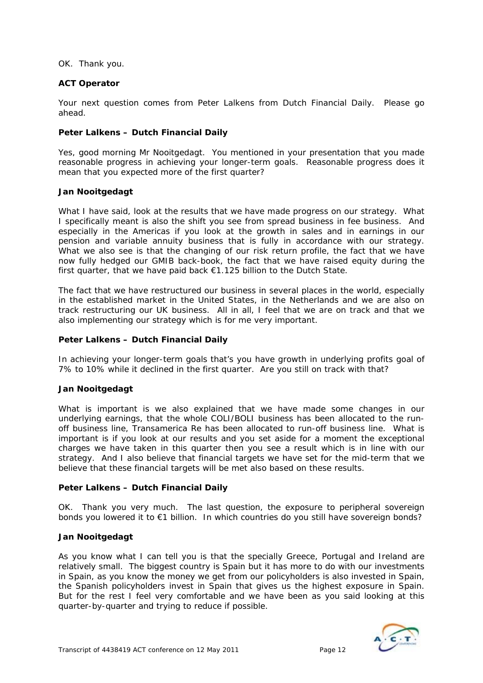OK. Thank you.

## **ACT Operator**

Your next question comes from Peter Lalkens from Dutch Financial Daily. Please go ahead.

# **Peter Lalkens – Dutch Financial Daily**

Yes, good morning Mr Nooitgedagt. You mentioned in your presentation that you made reasonable progress in achieving your longer-term goals. Reasonable progress does it mean that you expected more of the first quarter?

## **Jan Nooitgedagt**

What I have said, look at the results that we have made progress on our strategy. What I specifically meant is also the shift you see from spread business in fee business. And especially in the Americas if you look at the growth in sales and in earnings in our pension and variable annuity business that is fully in accordance with our strategy. What we also see is that the changing of our risk return profile, the fact that we have now fully hedged our GMIB back-book, the fact that we have raised equity during the first quarter, that we have paid back €1.125 billion to the Dutch State.

The fact that we have restructured our business in several places in the world, especially in the established market in the United States, in the Netherlands and we are also on track restructuring our UK business. All in all, I feel that we are on track and that we also implementing our strategy which is for me very important.

# **Peter Lalkens – Dutch Financial Daily**

In achieving your longer-term goals that's you have growth in underlying profits goal of 7% to 10% while it declined in the first quarter. Are you still on track with that?

## **Jan Nooitgedagt**

What is important is we also explained that we have made some changes in our underlying earnings, that the whole COLI/BOLI business has been allocated to the runoff business line, Transamerica Re has been allocated to run-off business line. What is important is if you look at our results and you set aside for a moment the exceptional charges we have taken in this quarter then you see a result which is in line with our strategy. And I also believe that financial targets we have set for the mid-term that we believe that these financial targets will be met also based on these results.

## **Peter Lalkens – Dutch Financial Daily**

OK. Thank you very much. The last question, the exposure to peripheral sovereign bonds you lowered it to €1 billion. In which countries do you still have sovereign bonds?

## **Jan Nooitgedagt**

As you know what I can tell you is that the specially Greece, Portugal and Ireland are relatively small. The biggest country is Spain but it has more to do with our investments in Spain, as you know the money we get from our policyholders is also invested in Spain, the Spanish policyholders invest in Spain that gives us the highest exposure in Spain. But for the rest I feel very comfortable and we have been as you said looking at this quarter-by-quarter and trying to reduce if possible.